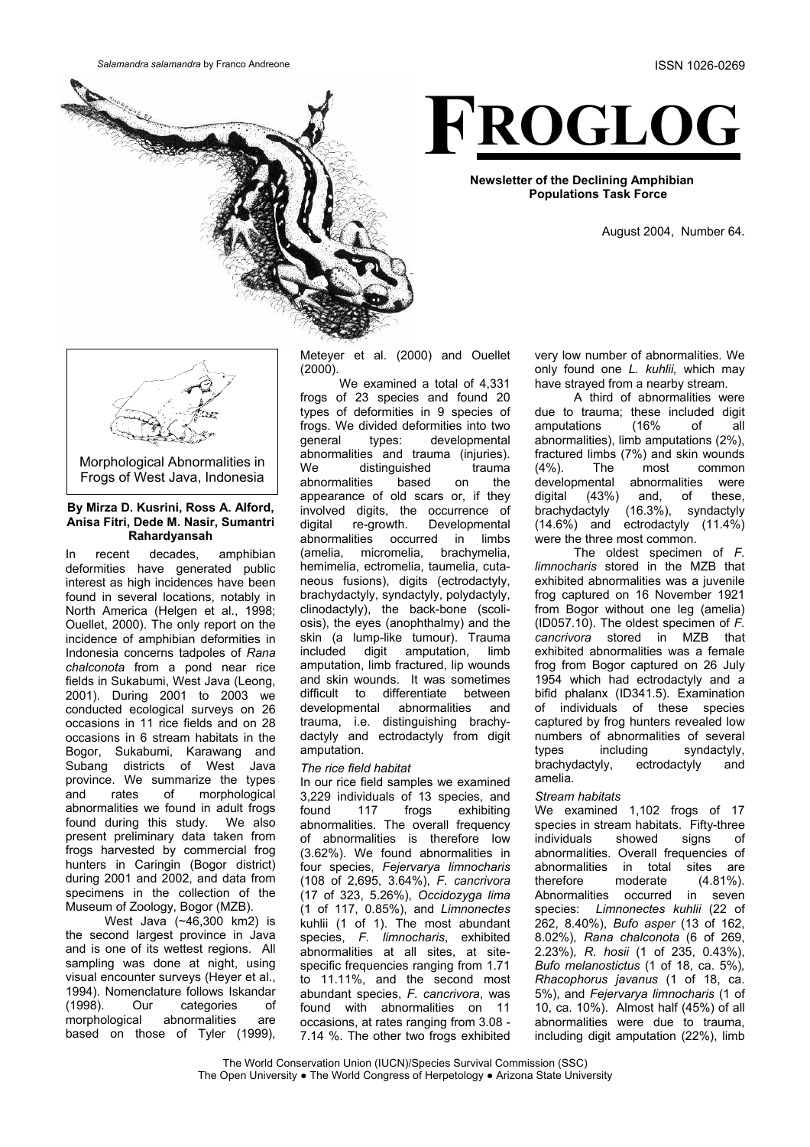**Salamandra salamandra by Franco Andreone** ISSN 1026-0269

# **FROGLOG**

**Newsletter of the Declining Amphibian Populations Task Force**

August 2004, Number 64*.*



Morphological Abnormalities in Frogs of West Java, Indonesia

#### **By Mirza D. Kusrini, Ross A. Alford, Anisa Fitri, Dede M. Nasir, Sumantri Rahardyansah**

In recent decades, amphibian deformities have generated public interest as high incidences have been found in several locations, notably in North America (Helgen et al., 1998; Ouellet, 2000). The only report on the incidence of amphibian deformities in Indonesia concerns tadpoles of *Rana chalconota* from a pond near rice fields in Sukabumi, West Java (Leong, 2001). During 2001 to 2003 we conducted ecological surveys on 26 occasions in 11 rice fields and on 28 occasions in 6 stream habitats in the Bogor, Sukabumi, Karawang and Subang districts of West Java province. We summarize the types and rates of morphological abnormalities we found in adult frogs found during this study. We also present preliminary data taken from frogs harvested by commercial frog hunters in Caringin (Bogor district) during 2001 and 2002, and data from specimens in the collection of the Museum of Zoology, Bogor (MZB).

West Java (~46,300 km2) is the second largest province in Java and is one of its wettest regions. All sampling was done at night, using visual encounter surveys (Heyer et al., 1994). Nomenclature follows Iskandar (1998). Our categories of morphological abnormalities are based on those of Tyler (1999), Meteyer et al. (2000) and Ouellet (2000).

We examined a total of 4,331 frogs of 23 species and found 20 types of deformities in 9 species of frogs. We divided deformities into two general types: developmental abnormalities and trauma (injuries). We distinguished trauma abnormalities based on the appearance of old scars or, if they involved digits, the occurrence of digital re-growth. Developmental abnormalities occurred in limbs (amelia, micromelia, brachymelia, hemimelia, ectromelia, taumelia, cutaneous fusions), digits (ectrodactyly, brachydactyly, syndactyly, polydactyly, clinodactyly), the back-bone (scoliosis), the eyes (anophthalmy) and the skin (a lump-like tumour). Trauma<br>included digit amputation, limb digit amputation, limb amputation, limb fractured, lip wounds and skin wounds. It was sometimes difficult to differentiate between developmental abnormalities and trauma, i.e. distinguishing brachydactyly and ectrodactyly from digit amputation.

## *The rice field habitat*

In our rice field samples we examined 3,229 individuals of 13 species, and found 117 frogs exhibiting abnormalities. The overall frequency of abnormalities is therefore low (3.62%). We found abnormalities in four species, *Fejervarya limnocharis* (108 of 2,695, 3.64%), *F. cancrivora*  (17 of 323, 5.26%), *Occidozyga lima* (1 of 117, 0.85%), and *Limnonectes* kuhlii (1 of 1). The most abundant species, *F. limnocharis*, exhibited abnormalities at all sites, at sitespecific frequencies ranging from 1.71 to 11.11%, and the second most abundant species, *F. cancrivora*, was found with abnormalities on 11 occasions, at rates ranging from 3.08 - 7.14 %. The other two frogs exhibited

very low number of abnormalities. We only found one *L. kuhlii,* which may have strayed from a nearby stream.

A third of abnormalities were due to trauma; these included digit amputations (16% of all abnormalities), limb amputations (2%), fractured limbs (7%) and skin wounds (4%). The most common developmental abnormalities were digital (43%) and, of these, brachydactyly (16.3%), syndactyly (14.6%) and ectrodactyly (11.4%) were the three most common.

The oldest specimen of *F. limnocharis* stored in the MZB that exhibited abnormalities was a juvenile frog captured on 16 November 1921 from Bogor without one leg (amelia) (ID057.10). The oldest specimen of *F. cancrivora* stored in MZB that exhibited abnormalities was a female frog from Bogor captured on 26 July 1954 which had ectrodactyly and a bifid phalanx (ID341.5). Examination of individuals of these species captured by frog hunters revealed low numbers of abnormalities of several<br>types including syndactyly, types including syndactyly, brachydactyly, ectrodactyly and amelia.

# *Stream habitats*

We examined 1,102 frogs of 17 species in stream habitats. Fifty-three individuals showed signs of abnormalities. Overall frequencies of abnormalities in total sites are therefore moderate (4.81%). Abnormalities occurred in seven species: *Limnonectes kuhlii* (22 of 262, 8.40%), *Bufo asper* (13 of 162, 8.02%)*, Rana chalconota* (6 of 269, 2.23%)*, R. hosii* (1 of 235, 0.43%), *Bufo melanostictus* (1 of 18, ca. 5%)*, Rhacophorus javanus* (1 of 18, ca. 5%), and *Fejervarya limnocharis* (1 of 10, ca. 10%). Almost half (45%) of all abnormalities were due to trauma, including digit amputation (22%), limb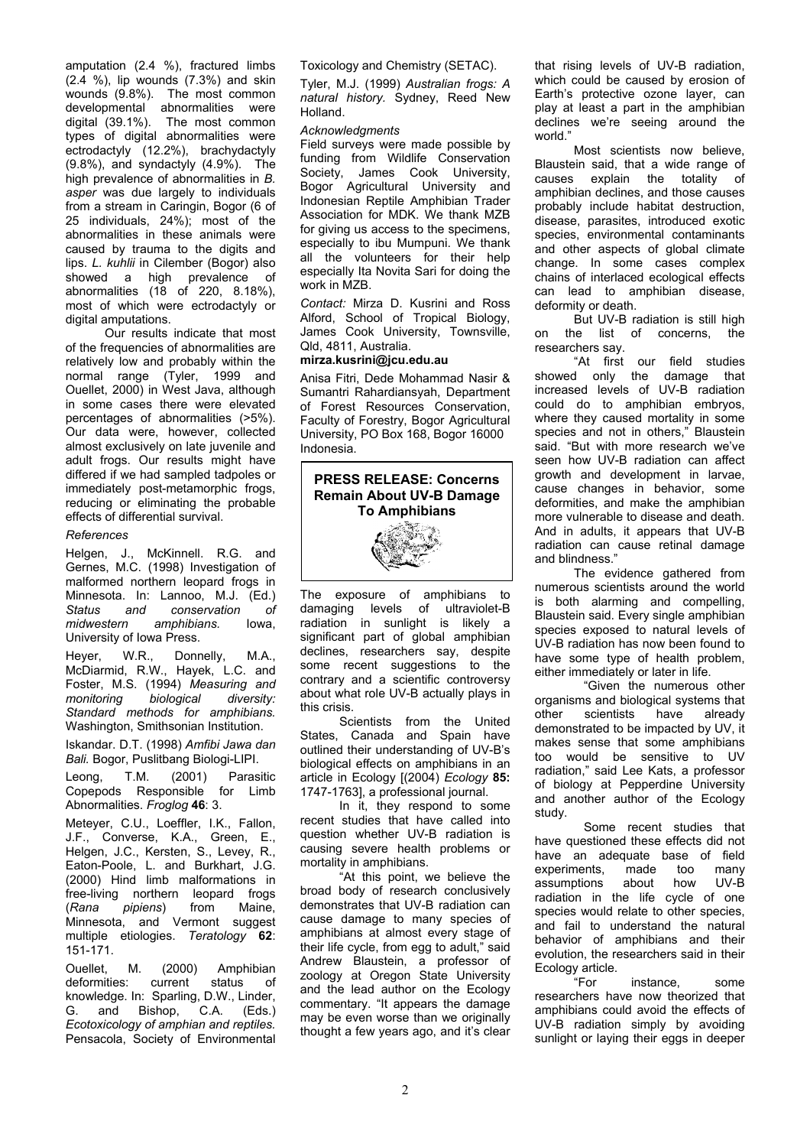amputation (2.4 %), fractured limbs (2.4 %), lip wounds (7.3%) and skin wounds (9.8%). The most common developmental abnormalities were digital (39.1%). The most common types of digital abnormalities were ectrodactyly (12.2%), brachydactyly (9.8%), and syndactyly (4.9%). The high prevalence of abnormalities in *B. asper* was due largely to individuals from a stream in Caringin, Bogor (6 of 25 individuals, 24%); most of the abnormalities in these animals were caused by trauma to the digits and lips. *L. kuhlii* in Cilember (Bogor) also showed a high prevalence of abnormalities (18 of 220, 8.18%), most of which were ectrodactyly or digital amputations.

Our results indicate that most of the frequencies of abnormalities are relatively low and probably within the normal range (Tyler, 1999 and Ouellet, 2000) in West Java, although in some cases there were elevated percentages of abnormalities (>5%). Our data were, however, collected almost exclusively on late juvenile and adult frogs. Our results might have differed if we had sampled tadpoles or immediately post-metamorphic frogs, reducing or eliminating the probable effects of differential survival.

### *References*

Helgen, J., McKinnell. R.G. and Gernes, M.C. (1998) Investigation of malformed northern leopard frogs in Minnesota. In: Lannoo, M.J. (Ed.) *Status and conservation of midwestern amphibians.* Iowa, University of Iowa Press.

Heyer, W.R., Donnelly, M.A., McDiarmid, R.W., Hayek, L.C. and Foster, M.S. (1994) *Measuring and monitoring biological diversity: Standard methods for amphibians.* Washington, Smithsonian Institution.

Iskandar. D.T. (1998) *Amfibi Jawa dan Bali.* Bogor, Puslitbang Biologi-LIPI.

Leong, T.M. (2001) Parasitic Copepods Responsible for Limb Abnormalities. *Froglog* **46**: 3.

Meteyer, C.U., Loeffler, I.K., Fallon, J.F., Converse, K.A., Green, E., Helgen, J.C., Kersten, S., Levey, R., Eaton-Poole, L. and Burkhart, J.G. (2000) Hind limb malformations in free-living northern leopard frogs (*Rana pipiens*) from Maine, Minnesota, and Vermont suggest multiple etiologies. *Teratology* **62**: 151-171.

Ouellet, M. (2000) Amphibian<br>deformities: current status of deformities: current status of knowledge. In: Sparling, D.W., Linder,<br>G. and Bishop, C.A. (Eds.) G. and Bishop, C.A. (Eds.) *Ecotoxicology of amphian and reptiles.* Pensacola, Society of Environmental

Toxicology and Chemistry (SETAC).

Tyler, M.J. (1999) *Australian frogs: A natural history.* Sydney, Reed New Holland.

#### *Acknowledgments*

Field surveys were made possible by funding from Wildlife Conservation Society, James Cook University. Bogor Agricultural University and Indonesian Reptile Amphibian Trader Association for MDK. We thank MZB for giving us access to the specimens. especially to ibu Mumpuni. We thank all the volunteers for their help especially Ita Novita Sari for doing the work in MZB.

*Contact:* Mirza D. Kusrini and Ross Alford, School of Tropical Biology, James Cook University, Townsville, Qld, 4811, Australia.

# **mirza.kusrini@jcu.edu.au**

Anisa Fitri, Dede Mohammad Nasir & Sumantri Rahardiansyah, Department of Forest Resources Conservation, Faculty of Forestry, Bogor Agricultural University, PO Box 168, Bogor 16000 Indonesia.



The exposure of amphibians to damaging levels of ultraviolet-B radiation in sunlight is likely a significant part of global amphibian declines, researchers say, despite some recent suggestions to the contrary and a scientific controversy about what role UV-B actually plays in this crisis.

Scientists from the United States, Canada and Spain have outlined their understanding of UV-B's biological effects on amphibians in an article in Ecology [(2004) *Ecology* **85:** 1747-1763], a professional journal.

In it, they respond to some recent studies that have called into question whether UV-B radiation is causing severe health problems or mortality in amphibians.

"At this point, we believe the broad body of research conclusively demonstrates that UV-B radiation can cause damage to many species of amphibians at almost every stage of their life cycle, from egg to adult," said Andrew Blaustein, a professor of zoology at Oregon State University and the lead author on the Ecology commentary. "It appears the damage may be even worse than we originally thought a few years ago, and it's clear that rising levels of UV-B radiation, which could be caused by erosion of Earth's protective ozone layer, can play at least a part in the amphibian declines we're seeing around the world."

Most scientists now believe, Blaustein said, that a wide range of causes explain the totality of amphibian declines, and those causes probably include habitat destruction, disease, parasites, introduced exotic species, environmental contaminants and other aspects of global climate change. In some cases complex chains of interlaced ecological effects can lead to amphibian disease, deformity or death.

But UV-B radiation is still high on the list of concerns, the researchers say.

"At first our field studies showed only the damage that increased levels of UV-B radiation could do to amphibian embryos, where they caused mortality in some species and not in others," Blaustein said. "But with more research we've seen how UV-B radiation can affect growth and development in larvae, cause changes in behavior, some deformities, and make the amphibian more vulnerable to disease and death. And in adults, it appears that UV-B radiation can cause retinal damage and blindness."

The evidence gathered from numerous scientists around the world is both alarming and compelling, Blaustein said. Every single amphibian species exposed to natural levels of UV-B radiation has now been found to have some type of health problem, either immediately or later in life.

"Given the numerous other organisms and biological systems that other scientists have already demonstrated to be impacted by UV, it makes sense that some amphibians too would be sensitive to UV radiation," said Lee Kats, a professor of biology at Pepperdine University and another author of the Ecology study.

Some recent studies that have questioned these effects did not have an adequate base of field experiments, made too many<br>assumptions about how UV-B assumptions about how UV-B radiation in the life cycle of one species would relate to other species, and fail to understand the natural behavior of amphibians and their evolution, the researchers said in their Ecology article.

"For instance, some researchers have now theorized that amphibians could avoid the effects of UV-B radiation simply by avoiding sunlight or laying their eggs in deeper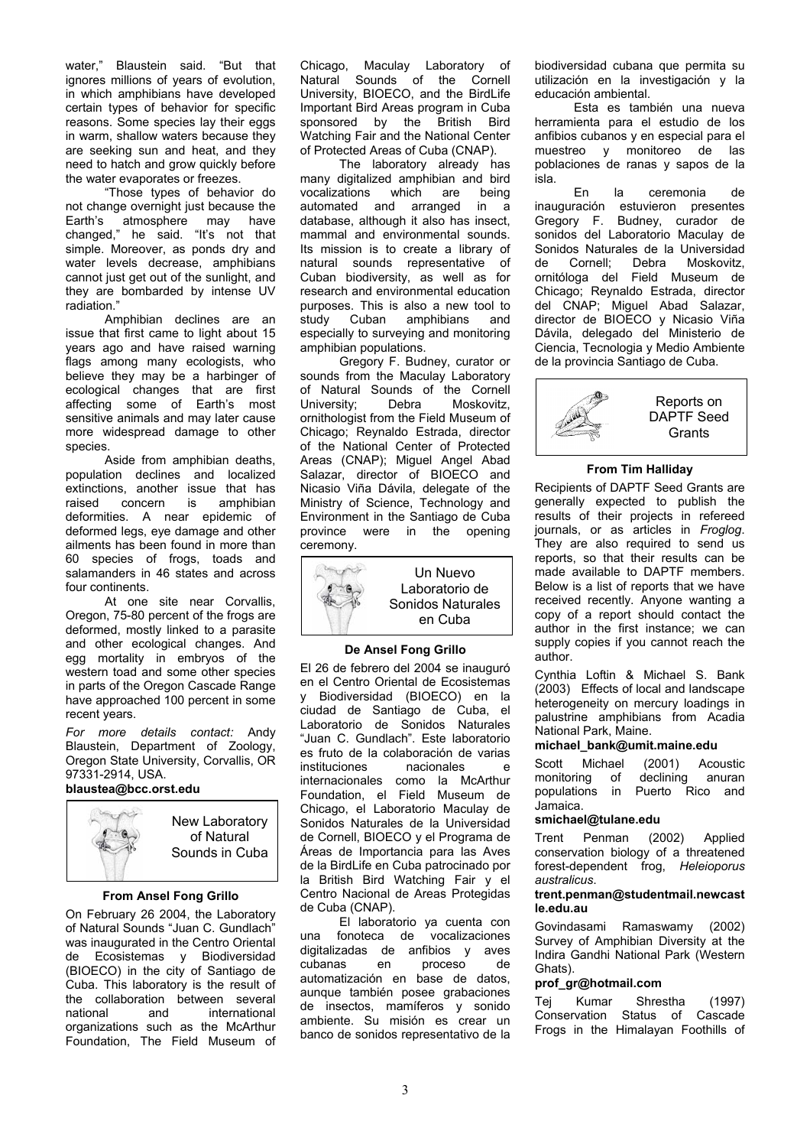water," Blaustein said. "But that ignores millions of years of evolution, in which amphibians have developed certain types of behavior for specific reasons. Some species lay their eggs in warm, shallow waters because they are seeking sun and heat, and they need to hatch and grow quickly before the water evaporates or freezes.

"Those types of behavior do not change overnight just because the Earth's atmosphere may have changed," he said. "It's not that simple. Moreover, as ponds dry and water levels decrease, amphibians cannot just get out of the sunlight, and they are bombarded by intense UV radiation."

Amphibian declines are an issue that first came to light about 15 years ago and have raised warning flags among many ecologists, who believe they may be a harbinger of ecological changes that are first affecting some of Earth's most sensitive animals and may later cause more widespread damage to other species.

Aside from amphibian deaths, population declines and localized extinctions, another issue that has raised concern is amphibian deformities. A near epidemic of deformed legs, eye damage and other ailments has been found in more than 60 species of frogs, toads and salamanders in 46 states and across four continents.

At one site near Corvallis, Oregon, 75-80 percent of the frogs are deformed, mostly linked to a parasite and other ecological changes. And egg mortality in embryos of the western toad and some other species in parts of the Oregon Cascade Range have approached 100 percent in some recent years.

*For more details contact:* Andy Blaustein, Department of Zoology, Oregon State University, Corvallis, OR 97331-2914, USA. **blaustea@bcc.orst.edu**



New Laboratory of Natural Sounds in Cuba

## **From Ansel Fong Grillo**

On February 26 2004, the Laboratory of Natural Sounds "Juan C. Gundlach" was inaugurated in the Centro Oriental de Ecosistemas y Biodiversidad (BIOECO) in the city of Santiago de Cuba. This laboratory is the result of the collaboration between several national and international organizations such as the McArthur Foundation, The Field Museum of

Chicago, Maculay Laboratory of Natural Sounds of the Cornell University, BIOECO, and the BirdLife Important Bird Areas program in Cuba sponsored by the British Bird Watching Fair and the National Center of Protected Areas of Cuba (CNAP).

The laboratory already has many digitalized amphibian and bird<br>vocalizations which are being  $vocalizations$  which are automated and arranged in a database, although it also has insect, mammal and environmental sounds. Its mission is to create a library of natural sounds representative of Cuban biodiversity, as well as for research and environmental education purposes. This is also a new tool to study Cuban amphibians and especially to surveying and monitoring amphibian populations.

Gregory F. Budney, curator or sounds from the Maculay Laboratory of Natural Sounds of the Cornell University; Debra Moskovitz, ornithologist from the Field Museum of Chicago; Reynaldo Estrada, director of the National Center of Protected Areas (CNAP); Miguel Angel Abad Salazar, director of BIOECO and Nicasio Viña Dávila, delegate of the Ministry of Science, Technology and Environment in the Santiago de Cuba province were in the opening ceremony.



### **De Ansel Fong Grillo**

El 26 de febrero del 2004 se inauguró en el Centro Oriental de Ecosistemas y Biodiversidad (BIOECO) en la ciudad de Santiago de Cuba, el Laboratorio de Sonidos Naturales "Juan C. Gundlach". Este laboratorio es fruto de la colaboración de varias instituciones nacionales e internacionales como la McArthur Foundation, el Field Museum de Chicago, el Laboratorio Maculay de Sonidos Naturales de la Universidad de Cornell, BIOECO y el Programa de Áreas de Importancia para las Aves de la BirdLife en Cuba patrocinado por la British Bird Watching Fair y el Centro Nacional de Areas Protegidas de Cuba (CNAP).

El laboratorio ya cuenta con una fonoteca de vocalizaciones digitalizadas de anfibios y aves cubanas en proceso de automatización en base de datos, aunque también posee grabaciones de insectos, mamíferos y sonido ambiente. Su misión es crear un banco de sonidos representativo de la biodiversidad cubana que permita su utilización en la investigación y la educación ambiental.

Esta es también una nueva herramienta para el estudio de los anfibios cubanos y en especial para el muestreo y monitoreo de las poblaciones de ranas y sapos de la isla.

En la ceremonia de inauguración estuvieron presentes Gregory F. Budney, curador de sonidos del Laboratorio Maculay de Sonidos Naturales de la Universidad de Cornell; Debra Moskovitz, ornitóloga del Field Museum de Chicago; Reynaldo Estrada, director del CNAP; Miguel Abad Salazar, director de BIOECO y Nicasio Viña Dávila, delegado del Ministerio de Ciencia, Tecnologia y Medio Ambiente de la provincia Santiago de Cuba.



### **From Tim Halliday**

Recipients of DAPTF Seed Grants are generally expected to publish the results of their projects in refereed journals, or as articles in *Froglog*. They are also required to send us reports, so that their results can be made available to DAPTF members. Below is a list of reports that we have received recently. Anyone wanting a copy of a report should contact the author in the first instance; we can supply copies if you cannot reach the author.

Cynthia Loftin & Michael S. Bank (2003) Effects of local and landscape heterogeneity on mercury loadings in palustrine amphibians from Acadia National Park, Maine.

## **michael\_bank@umit.maine.edu**

Scott Michael (2001) Acoustic monitoring of declining anuran populations in Puerto Rico and Jamaica.

# **smichael@tulane.edu**

Trent Penman (2002) Applied conservation biology of a threatened forest-dependent frog, *Heleioporus australicus*.

#### **trent.penman@studentmail.newcast le.edu.au**

Govindasami Ramaswamy (2002) Survey of Amphibian Diversity at the Indira Gandhi National Park (Western Ghats).

# **[prof\\_gr@hotmail.com](mailto:prof_gr@hotmail.com)**

Tej Kumar Shrestha (1997) Conservation Status of Cascade Frogs in the Himalayan Foothills of